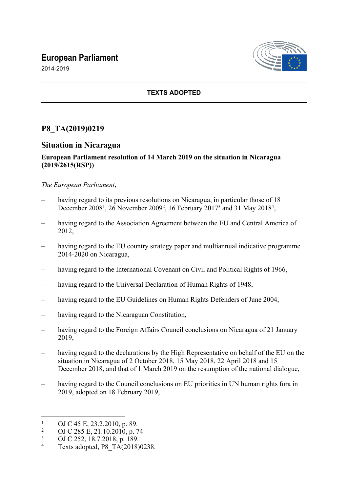# **European Parliament**



2014-2019

## **TEXTS ADOPTED**

# **P8\_TA(2019)0219**

### **Situation in Nicaragua**

### **European Parliament resolution of 14 March 2019 on the situation in Nicaragua (2019/2615(RSP))**

### *The European Parliament*,

- having regard to its previous resolutions on Nicaragua, in particular those of 18 December 2008<sup>1</sup>, 26 November 2009<sup>2</sup>, 16 February 2017<sup>3</sup> and 31 May 2018<sup>4</sup>,
- having regard to the Association Agreement between the EU and Central America of 2012,
- having regard to the EU country strategy paper and multiannual indicative programme 2014-2020 on Nicaragua,
- having regard to the International Covenant on Civil and Political Rights of 1966,
- having regard to the Universal Declaration of Human Rights of 1948,
- having regard to the EU Guidelines on Human Rights Defenders of June 2004,
- having regard to the Nicaraguan Constitution,
- having regard to the Foreign Affairs Council conclusions on Nicaragua of 21 January 2019,
- having regard to the declarations by the High Representative on behalf of the EU on the situation in Nicaragua of 2 October 2018, 15 May 2018, 22 April 2018 and 15 December 2018, and that of 1 March 2019 on the resumption of the national dialogue,
- having regard to the Council conclusions on EU priorities in UN human rights fora in 2019, adopted on 18 February 2019,

<sup>1</sup> OJ C 45 E, 23.2.2010, p. 89.

<sup>2</sup> OJ C 285 E, 21.10.2010, p. 74

<sup>3</sup> OJ C 252, 18.7.2018, p. 189.

<sup>4</sup> Texts adopted, P8\_TA(2018)0238.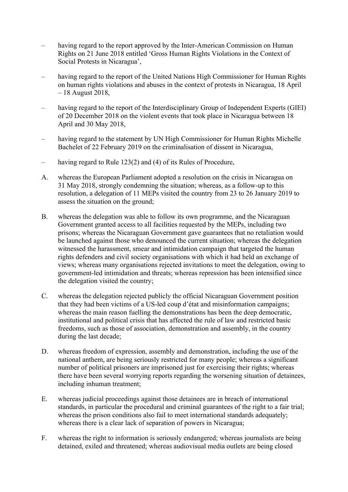- having regard to the report approved by the Inter-American Commission on Human Rights on 21 June 2018 entitled 'Gross Human Rights Violations in the Context of Social Protests in Nicaragua',
- having regard to the report of the United Nations High Commissioner for Human Rights on human rights violations and abuses in the context of protests in Nicaragua, 18 April – 18 August 2018,
- having regard to the report of the Interdisciplinary Group of Independent Experts (GIEI) of 20 December 2018 on the violent events that took place in Nicaragua between 18 April and 30 May 2018,
- having regard to the statement by UN High Commissioner for Human Rights Michelle Bachelet of 22 February 2019 on the criminalisation of dissent in Nicaragua,
- having regard to Rule 123(2) and (4) of its Rules of Procedure,
- A. whereas the European Parliament adopted a resolution on the crisis in Nicaragua on 31 May 2018, strongly condemning the situation; whereas, as a follow-up to this resolution, a delegation of 11 MEPs visited the country from 23 to 26 January 2019 to assess the situation on the ground;
- B. whereas the delegation was able to follow its own programme, and the Nicaraguan Government granted access to all facilities requested by the MEPs, including two prisons; whereas the Nicaraguan Government gave guarantees that no retaliation would be launched against those who denounced the current situation; whereas the delegation witnessed the harassment, smear and intimidation campaign that targeted the human rights defenders and civil society organisations with which it had held an exchange of views; whereas many organisations rejected invitations to meet the delegation, owing to government-led intimidation and threats; whereas repression has been intensified since the delegation visited the country;
- C. whereas the delegation rejected publicly the official Nicaraguan Government position that they had been victims of a US-led coup d'état and misinformation campaigns; whereas the main reason fuelling the demonstrations has been the deep democratic, institutional and political crisis that has affected the rule of law and restricted basic freedoms, such as those of association, demonstration and assembly, in the country during the last decade;
- D. whereas freedom of expression, assembly and demonstration, including the use of the national anthem, are being seriously restricted for many people; whereas a significant number of political prisoners are imprisoned just for exercising their rights; whereas there have been several worrying reports regarding the worsening situation of detainees, including inhuman treatment;
- E. whereas judicial proceedings against those detainees are in breach of international standards, in particular the procedural and criminal guarantees of the right to a fair trial; whereas the prison conditions also fail to meet international standards adequately; whereas there is a clear lack of separation of powers in Nicaragua;
- F. whereas the right to information is seriously endangered; whereas journalists are being detained, exiled and threatened; whereas audiovisual media outlets are being closed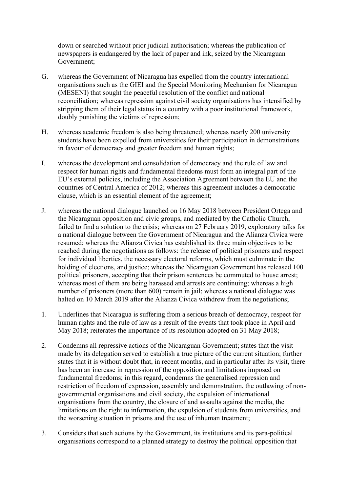down or searched without prior judicial authorisation; whereas the publication of newspapers is endangered by the lack of paper and ink, seized by the Nicaraguan Government;

- G. whereas the Government of Nicaragua has expelled from the country international organisations such as the GIEI and the Special Monitoring Mechanism for Nicaragua (MESENI) that sought the peaceful resolution of the conflict and national reconciliation; whereas repression against civil society organisations has intensified by stripping them of their legal status in a country with a poor institutional framework, doubly punishing the victims of repression;
- H. whereas academic freedom is also being threatened; whereas nearly 200 university students have been expelled from universities for their participation in demonstrations in favour of democracy and greater freedom and human rights;
- I. whereas the development and consolidation of democracy and the rule of law and respect for human rights and fundamental freedoms must form an integral part of the EU's external policies, including the Association Agreement between the EU and the countries of Central America of 2012; whereas this agreement includes a democratic clause, which is an essential element of the agreement;
- J. whereas the national dialogue launched on 16 May 2018 between President Ortega and the Nicaraguan opposition and civic groups, and mediated by the Catholic Church, failed to find a solution to the crisis; whereas on 27 February 2019, exploratory talks for a national dialogue between the Government of Nicaragua and the Alianza Civica were resumed; whereas the Alianza Civica has established its three main objectives to be reached during the negotiations as follows: the release of political prisoners and respect for individual liberties, the necessary electoral reforms, which must culminate in the holding of elections, and justice; whereas the Nicaraguan Government has released 100 political prisoners, accepting that their prison sentences be commuted to house arrest; whereas most of them are being harassed and arrests are continuing; whereas a high number of prisoners (more than 600) remain in jail; whereas a national dialogue was halted on 10 March 2019 after the Alianza Civica withdrew from the negotiations;
- 1. Underlines that Nicaragua is suffering from a serious breach of democracy, respect for human rights and the rule of law as a result of the events that took place in April and May 2018; reiterates the importance of its resolution adopted on 31 May 2018;
- 2. Condemns all repressive actions of the Nicaraguan Government; states that the visit made by its delegation served to establish a true picture of the current situation; further states that it is without doubt that, in recent months, and in particular after its visit, there has been an increase in repression of the opposition and limitations imposed on fundamental freedoms; in this regard, condemns the generalised repression and restriction of freedom of expression, assembly and demonstration, the outlawing of nongovernmental organisations and civil society, the expulsion of international organisations from the country, the closure of and assaults against the media, the limitations on the right to information, the expulsion of students from universities, and the worsening situation in prisons and the use of inhuman treatment;
- 3. Considers that such actions by the Government, its institutions and its para-political organisations correspond to a planned strategy to destroy the political opposition that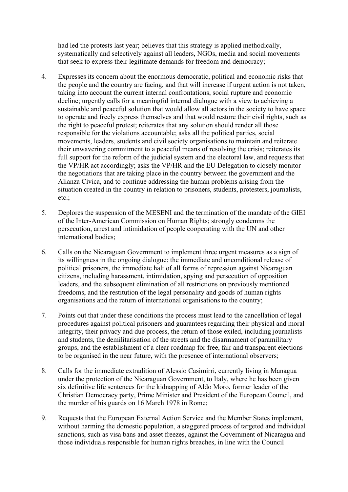had led the protests last year; believes that this strategy is applied methodically, systematically and selectively against all leaders, NGOs, media and social movements that seek to express their legitimate demands for freedom and democracy;

- 4. Expresses its concern about the enormous democratic, political and economic risks that the people and the country are facing, and that will increase if urgent action is not taken, taking into account the current internal confrontations, social rupture and economic decline; urgently calls for a meaningful internal dialogue with a view to achieving a sustainable and peaceful solution that would allow all actors in the society to have space to operate and freely express themselves and that would restore their civil rights, such as the right to peaceful protest; reiterates that any solution should render all those responsible for the violations accountable; asks all the political parties, social movements, leaders, students and civil society organisations to maintain and reiterate their unwavering commitment to a peaceful means of resolving the crisis; reiterates its full support for the reform of the judicial system and the electoral law, and requests that the VP/HR act accordingly; asks the VP/HR and the EU Delegation to closely monitor the negotiations that are taking place in the country between the government and the Alianza Civica, and to continue addressing the human problems arising from the situation created in the country in relation to prisoners, students, protesters, journalists, etc.;
- 5. Deplores the suspension of the MESENI and the termination of the mandate of the GIEI of the Inter-American Commission on Human Rights; strongly condemns the persecution, arrest and intimidation of people cooperating with the UN and other international bodies;
- 6. Calls on the Nicaraguan Government to implement three urgent measures as a sign of its willingness in the ongoing dialogue: the immediate and unconditional release of political prisoners, the immediate halt of all forms of repression against Nicaraguan citizens, including harassment, intimidation, spying and persecution of opposition leaders, and the subsequent elimination of all restrictions on previously mentioned freedoms, and the restitution of the legal personality and goods of human rights organisations and the return of international organisations to the country;
- 7. Points out that under these conditions the process must lead to the cancellation of legal procedures against political prisoners and guarantees regarding their physical and moral integrity, their privacy and due process, the return of those exiled, including journalists and students, the demilitarisation of the streets and the disarmament of paramilitary groups, and the establishment of a clear roadmap for free, fair and transparent elections to be organised in the near future, with the presence of international observers;
- 8. Calls for the immediate extradition of Alessio Casimirri, currently living in Managua under the protection of the Nicaraguan Government, to Italy, where he has been given six definitive life sentences for the kidnapping of Aldo Moro, former leader of the Christian Democracy party, Prime Minister and President of the European Council, and the murder of his guards on 16 March 1978 in Rome;
- 9. Requests that the European External Action Service and the Member States implement, without harming the domestic population, a staggered process of targeted and individual sanctions, such as visa bans and asset freezes, against the Government of Nicaragua and those individuals responsible for human rights breaches, in line with the Council